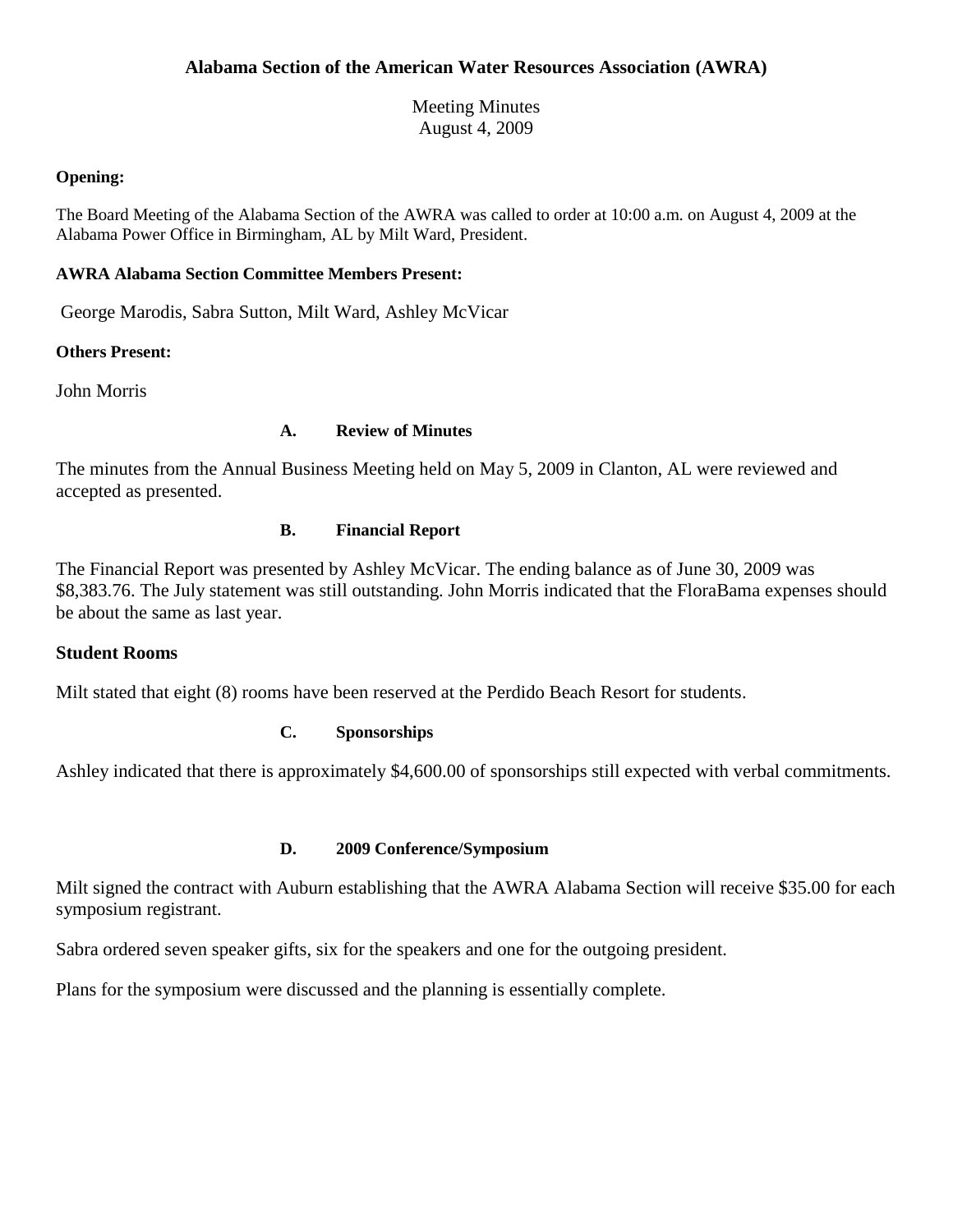Meeting Minutes August 4, 2009

#### **Opening:**

The Board Meeting of the Alabama Section of the AWRA was called to order at 10:00 a.m. on August 4, 2009 at the Alabama Power Office in Birmingham, AL by Milt Ward, President.

## **AWRA Alabama Section Committee Members Present:**

George Marodis, Sabra Sutton, Milt Ward, Ashley McVicar

### **Others Present:**

John Morris

### **A. Review of Minutes**

The minutes from the Annual Business Meeting held on May 5, 2009 in Clanton, AL were reviewed and accepted as presented.

### **B. Financial Report**

The Financial Report was presented by Ashley McVicar. The ending balance as of June 30, 2009 was \$8,383.76. The July statement was still outstanding. John Morris indicated that the FloraBama expenses should be about the same as last year.

# **Student Rooms**

Milt stated that eight (8) rooms have been reserved at the Perdido Beach Resort for students.

# **C. Sponsorships**

Ashley indicated that there is approximately \$4,600.00 of sponsorships still expected with verbal commitments.

#### **D. 2009 Conference/Symposium**

Milt signed the contract with Auburn establishing that the AWRA Alabama Section will receive \$35.00 for each symposium registrant.

Sabra ordered seven speaker gifts, six for the speakers and one for the outgoing president.

Plans for the symposium were discussed and the planning is essentially complete.